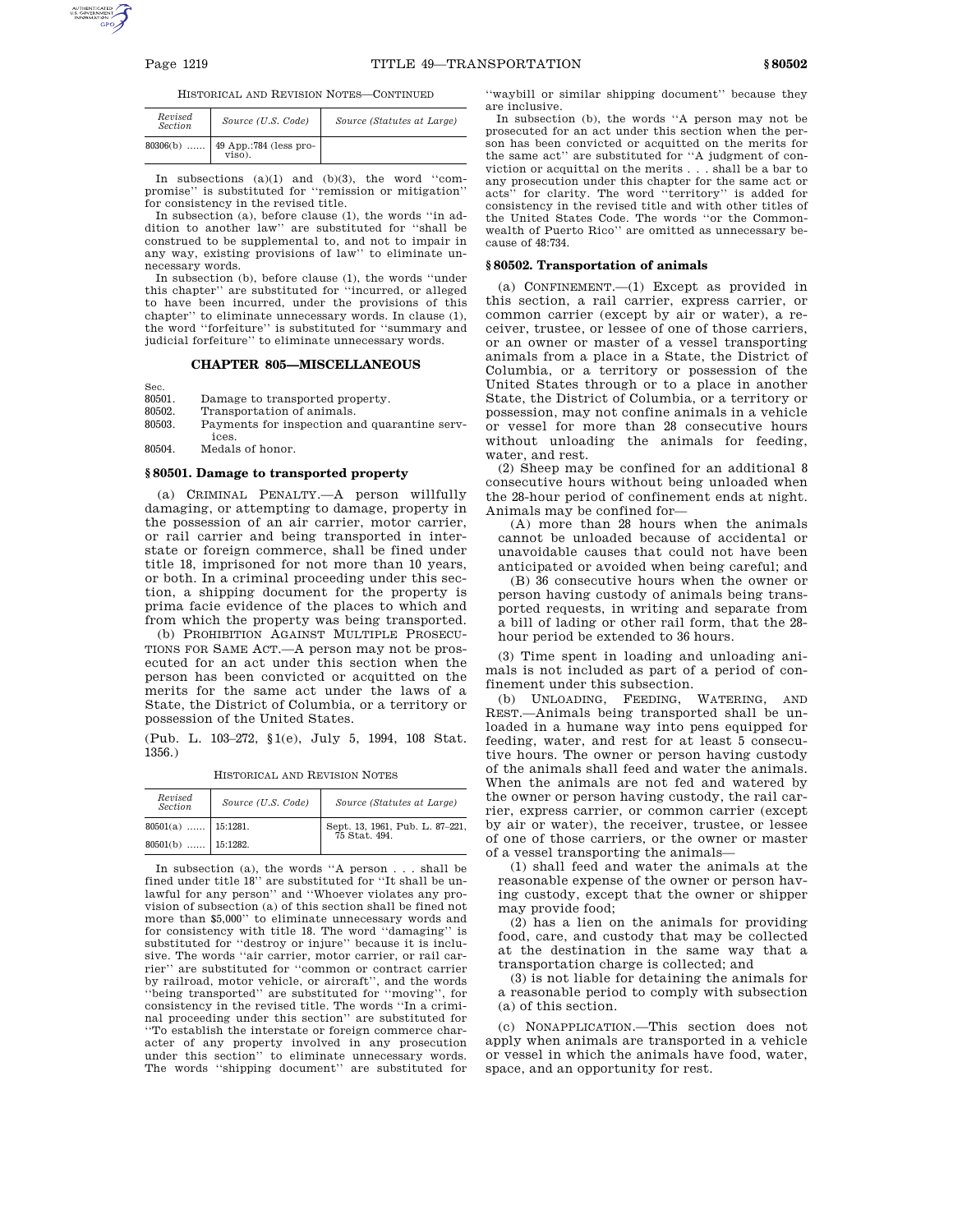HISTORICAL AND REVISION NOTES—CONTINUED

| Revised<br><b>Section</b> | Source (U.S. Code)               | Source (Statutes at Large) |
|---------------------------|----------------------------------|----------------------------|
| $80306(b)$                | 49 App.:784 (less pro-<br>viso). |                            |

In subsections  $(a)(1)$  and  $(b)(3)$ , the word "compromise'' is substituted for ''remission or mitigation'' for consistency in the revised title.

In subsection (a), before clause (1), the words ''in addition to another law'' are substituted for ''shall be construed to be supplemental to, and not to impair in any way, existing provisions of law'' to eliminate unnecessary words.

In subsection (b), before clause (1), the words ''under this chapter'' are substituted for ''incurred, or alleged to have been incurred, under the provisions of this chapter'' to eliminate unnecessary words. In clause (1), the word ''forfeiture'' is substituted for ''summary and judicial forfeiture'' to eliminate unnecessary words.

**CHAPTER 805—MISCELLANEOUS**

Sec.<br>80501.

80501. Damage to transported property.<br>80502. Transportation of animals. Transportation of animals.

80503. Payments for inspection and quarantine services.

80504. Medals of honor.

## **§ 80501. Damage to transported property**

(a) CRIMINAL PENALTY.—A person willfully damaging, or attempting to damage, property in the possession of an air carrier, motor carrier, or rail carrier and being transported in interstate or foreign commerce, shall be fined under title 18, imprisoned for not more than 10 years, or both. In a criminal proceeding under this section, a shipping document for the property is prima facie evidence of the places to which and from which the property was being transported.

(b) PROHIBITION AGAINST MULTIPLE PROSECU-TIONS FOR SAME ACT.—A person may not be prosecuted for an act under this section when the person has been convicted or acquitted on the merits for the same act under the laws of a State, the District of Columbia, or a territory or possession of the United States.

(Pub. L. 103–272, §1(e), July 5, 1994, 108 Stat. 1356.)

| HISTORICAL AND REVISION NOTES |
|-------------------------------|
|                               |

| Revised<br><b>Section</b> | Source (U.S. Code) | Source (Statutes at Large)                    |
|---------------------------|--------------------|-----------------------------------------------|
| $80501(a)$   15:1281.     |                    | Sept. 13, 1961, Pub. L. 87-221, 75 Stat. 494. |
| $80501(b)$   15:1282.     |                    |                                               |

In subsection (a), the words ''A person . . . shall be fined under title 18'' are substituted for ''It shall be unlawful for any person'' and ''Whoever violates any provision of subsection (a) of this section shall be fined not more than \$5,000'' to eliminate unnecessary words and for consistency with title 18. The word ''damaging'' is substituted for ''destroy or injure'' because it is inclusive. The words ''air carrier, motor carrier, or rail carrier'' are substituted for ''common or contract carrier by railroad, motor vehicle, or aircraft'', and the words ''being transported'' are substituted for ''moving'', for consistency in the revised title. The words ''In a criminal proceeding under this section'' are substituted for ''To establish the interstate or foreign commerce character of any property involved in any prosecution under this section'' to eliminate unnecessary words. The words ''shipping document'' are substituted for ''waybill or similar shipping document'' because they are inclusive.

In subsection (b), the words ''A person may not be prosecuted for an act under this section when the person has been convicted or acquitted on the merits for the same act'' are substituted for ''A judgment of conviction or acquittal on the merits . . . shall be a bar to any prosecution under this chapter for the same act or acts'' for clarity. The word ''territory'' is added for consistency in the revised title and with other titles of the United States Code. The words ''or the Commonwealth of Puerto Rico'' are omitted as unnecessary because of 48:734.

## **§ 80502. Transportation of animals**

(a) CONFINEMENT.—(1) Except as provided in this section, a rail carrier, express carrier, or common carrier (except by air or water), a receiver, trustee, or lessee of one of those carriers, or an owner or master of a vessel transporting animals from a place in a State, the District of Columbia, or a territory or possession of the United States through or to a place in another State, the District of Columbia, or a territory or possession, may not confine animals in a vehicle or vessel for more than 28 consecutive hours without unloading the animals for feeding, water, and rest.

(2) Sheep may be confined for an additional 8 consecutive hours without being unloaded when the 28-hour period of confinement ends at night. Animals may be confined for—

(A) more than 28 hours when the animals cannot be unloaded because of accidental or unavoidable causes that could not have been anticipated or avoided when being careful; and

(B) 36 consecutive hours when the owner or person having custody of animals being transported requests, in writing and separate from a bill of lading or other rail form, that the 28 hour period be extended to 36 hours.

(3) Time spent in loading and unloading animals is not included as part of a period of con-

finement under this subsection.<br>(b) UNLOADING, FEEDING, WATERING, AND (b) UNLOADING, FEEDING, REST.—Animals being transported shall be unloaded in a humane way into pens equipped for feeding, water, and rest for at least 5 consecutive hours. The owner or person having custody of the animals shall feed and water the animals. When the animals are not fed and watered by the owner or person having custody, the rail carrier, express carrier, or common carrier (except by air or water), the receiver, trustee, or lessee of one of those carriers, or the owner or master of a vessel transporting the animals—

(1) shall feed and water the animals at the reasonable expense of the owner or person having custody, except that the owner or shipper may provide food;

(2) has a lien on the animals for providing food, care, and custody that may be collected at the destination in the same way that a transportation charge is collected; and

(3) is not liable for detaining the animals for a reasonable period to comply with subsection (a) of this section.

(c) NONAPPLICATION.—This section does not apply when animals are transported in a vehicle or vessel in which the animals have food, water, space, and an opportunity for rest.